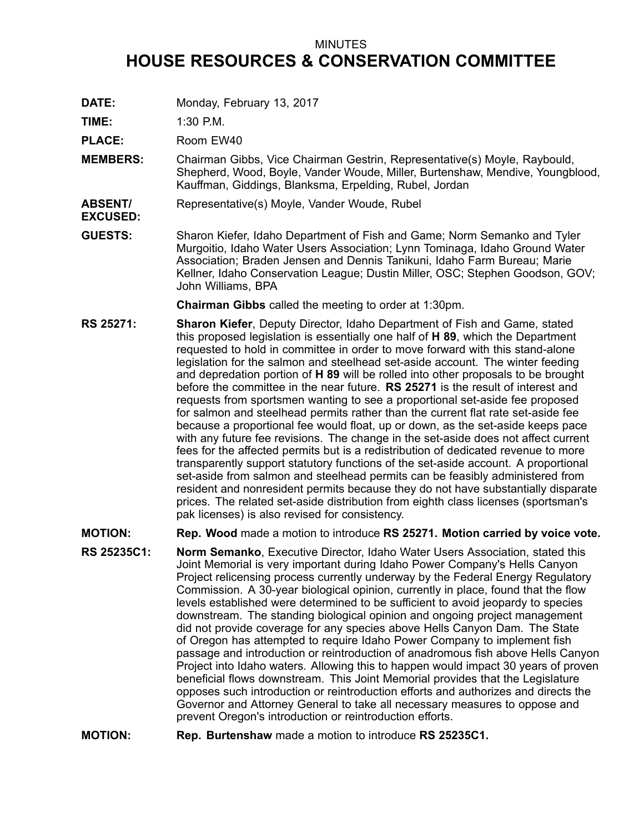## MINUTES **HOUSE RESOURCES & CONSERVATION COMMITTEE**

**DATE:** Monday, February 13, 2017

**TIME:** 1:30 P.M.

**EXCUSED:**

PLACE: Room EW40

- **MEMBERS:** Chairman Gibbs, Vice Chairman Gestrin, Representative(s) Moyle, Raybould, Shepherd, Wood, Boyle, Vander Woude, Miller, Burtenshaw, Mendive, Youngblood, Kauffman, Giddings, Blanksma, Erpelding, Rubel, Jordan
- **ABSENT/** Representative(s) Moyle, Vander Woude, Rubel
- **GUESTS:** Sharon Kiefer, Idaho Department of Fish and Game; Norm Semanko and Tyler Murgoitio, Idaho Water Users Association; Lynn Tominaga, Idaho Ground Water Association; Braden Jensen and Dennis Tanikuni, Idaho Farm Bureau; Marie Kellner, Idaho Conservation League; Dustin Miller, OSC; Stephen Goodson, GOV; John Williams, BPA

**Chairman Gibbs** called the meeting to order at 1:30pm.

- **RS 25271: Sharon Kiefer**, Deputy Director, Idaho Department of Fish and Game, stated this proposed legislation is essentially one half of **H 89**, which the Department requested to hold in committee in order to move forward with this stand-alone legislation for the salmon and steelhead set-aside account. The winter feeding and depredation portion of **H 89** will be rolled into other proposals to be brought before the committee in the near future. **RS 25271** is the result of interest and requests from sportsmen wanting to see <sup>a</sup> proportional set-aside fee proposed for salmon and steelhead permits rather than the current flat rate set-aside fee because <sup>a</sup> proportional fee would float, up or down, as the set-aside keeps pace with any future fee revisions. The change in the set-aside does not affect current fees for the affected permits but is <sup>a</sup> redistribution of dedicated revenue to more transparently support statutory functions of the set-aside account. A proportional set-aside from salmon and steelhead permits can be feasibly administered from resident and nonresident permits because they do not have substantially disparate prices. The related set-aside distribution from eighth class licenses (sportsman's pak licenses) is also revised for consistency.
- **MOTION: Rep. Wood** made <sup>a</sup> motion to introduce **RS 25271. Motion carried by voice vote.**
- **RS 25235C1: Norm Semanko**, Executive Director, Idaho Water Users Association, stated this Joint Memorial is very important during Idaho Power Company's Hells Canyon Project relicensing process currently underway by the Federal Energy Regulatory Commission. A 30-year biological opinion, currently in place, found that the flow levels established were determined to be sufficient to avoid jeopardy to species downstream. The standing biological opinion and ongoing project management did not provide coverage for any species above Hells Canyon Dam. The State of Oregon has attempted to require Idaho Power Company to implement fish passage and introduction or reintroduction of anadromous fish above Hells Canyon Project into Idaho waters. Allowing this to happen would impact 30 years of proven beneficial flows downstream. This Joint Memorial provides that the Legislature opposes such introduction or reintroduction efforts and authorizes and directs the Governor and Attorney General to take all necessary measures to oppose and prevent Oregon's introduction or reintroduction efforts.
- **MOTION: Rep. Burtenshaw** made <sup>a</sup> motion to introduce **RS 25235C1.**